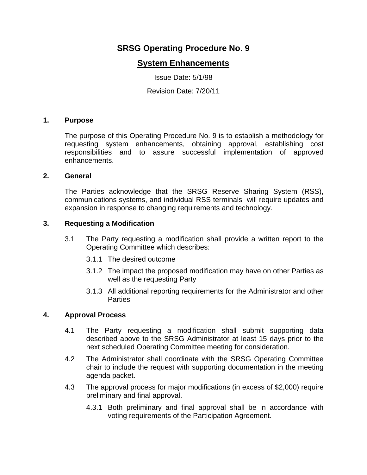# **SRSG Operating Procedure No. 9**

## **System Enhancements**

Issue Date: 5/1/98

Revision Date: 7/20/11

## **1. Purpose**

The purpose of this Operating Procedure No. 9 is to establish a methodology for requesting system enhancements, obtaining approval, establishing cost responsibilities and to assure successful implementation of approved enhancements.

#### **2. General**

The Parties acknowledge that the SRSG Reserve Sharing System (RSS), communications systems, and individual RSS terminals will require updates and expansion in response to changing requirements and technology.

## **3. Requesting a Modification**

- 3.1 The Party requesting a modification shall provide a written report to the Operating Committee which describes:
	- 3.1.1 The desired outcome
	- 3.1.2 The impact the proposed modification may have on other Parties as well as the requesting Party
	- 3.1.3 All additional reporting requirements for the Administrator and other **Parties**

## **4. Approval Process**

- 4.1 The Party requesting a modification shall submit supporting data described above to the SRSG Administrator at least 15 days prior to the next scheduled Operating Committee meeting for consideration.
- 4.2 The Administrator shall coordinate with the SRSG Operating Committee chair to include the request with supporting documentation in the meeting agenda packet.
- 4.3 The approval process for major modifications (in excess of \$2,000) require preliminary and final approval.
	- 4.3.1 Both preliminary and final approval shall be in accordance with voting requirements of the Participation Agreement.